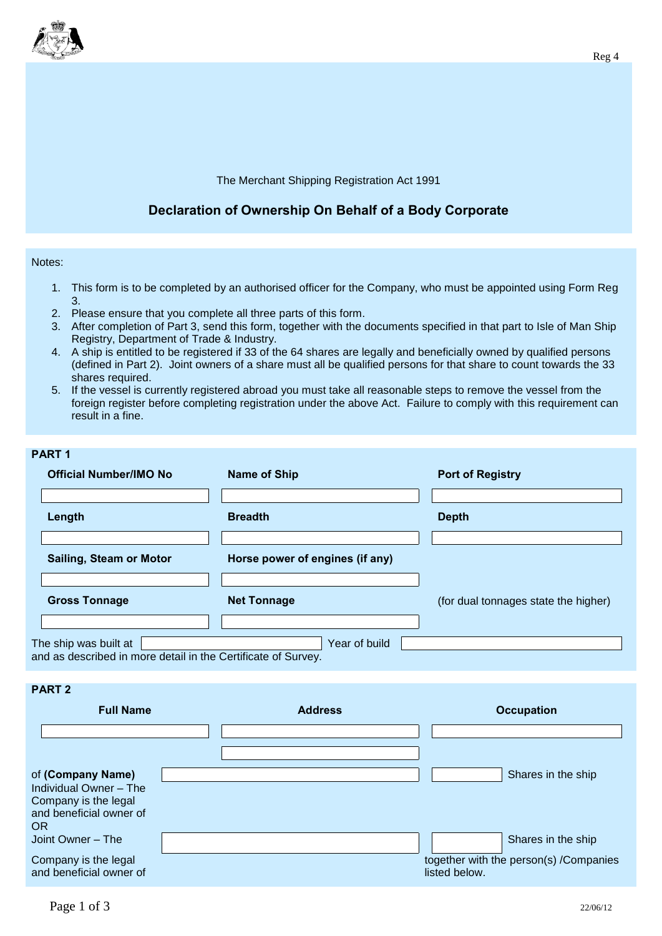

## The Merchant Shipping Registration Act 1991

## **Declaration of Ownership On Behalf of a Body Corporate**

## Notes:

- 1. This form is to be completed by an authorised officer for the Company, who must be appointed using Form Reg 3.
- 2. Please ensure that you complete all three parts of this form.
- 3. After completion of Part 3, send this form, together with the documents specified in that part to Isle of Man Ship Registry, Department of Trade & Industry.
- 4. A ship is entitled to be registered if 33 of the 64 shares are legally and beneficially owned by qualified persons (defined in Part 2). Joint owners of a share must all be qualified persons for that share to count towards the 33 shares required.
- 5. If the vessel is currently registered abroad you must take all reasonable steps to remove the vessel from the foreign register before completing registration under the above Act. Failure to comply with this requirement can result in a fine.

## **PART 1 Official Number/IMO No Name of Ship Port of Registry Length Breadth Depth Sailing, Steam or Motor Horse power of engines (if any) Gross Tonnage Net Tonnage Net Tonnage** (for dual tonnages state the higher) The ship was built at The ship was built at The ship was build and as described in more detail in the Certificate of Survey.

**PART 2**

| <b>Full Name</b>                                                                                            |  | <b>Address</b> | <b>Occupation</b> |                                        |
|-------------------------------------------------------------------------------------------------------------|--|----------------|-------------------|----------------------------------------|
|                                                                                                             |  |                |                   |                                        |
| of (Company Name)<br>Individual Owner - The<br>Company is the legal<br>and beneficial owner of<br><b>OR</b> |  |                |                   | Shares in the ship                     |
| Joint Owner - The                                                                                           |  |                |                   | Shares in the ship                     |
| Company is the legal<br>and beneficial owner of                                                             |  |                | listed below.     | together with the person(s) /Companies |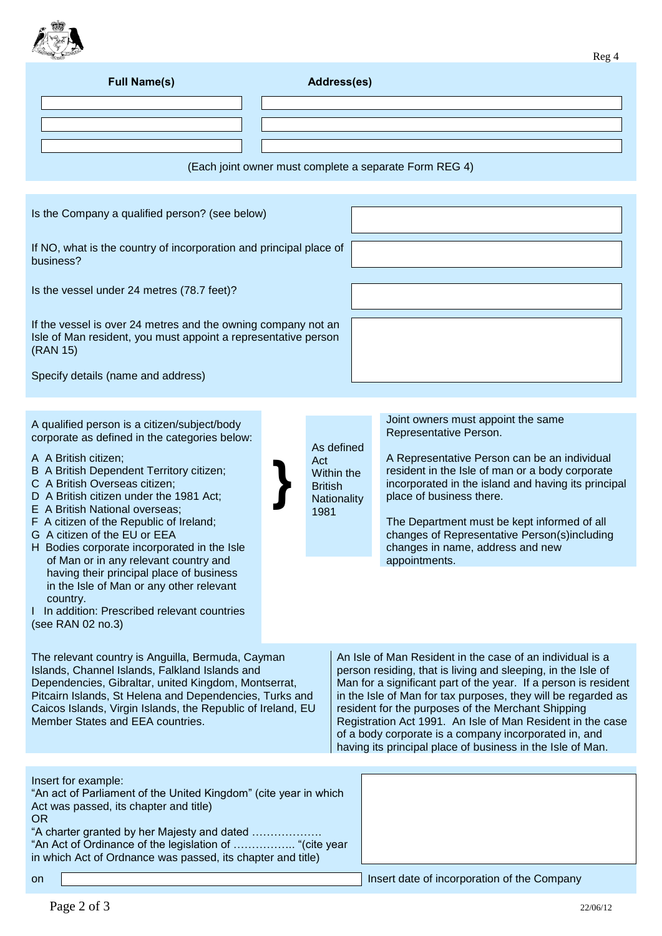

| <b>Full Name(s)</b>                                                                                                                                                                                                                                                                                                                                                                                                                                                                                                                                                                                                                                                                                                                                                                                                                                                                                                                                    | Address(es) |                                                                          |                                                                                                                                                                                                                                                                                                                                                                                                                                                                                                                                                                                                                                                                                                                                                                                             |  |  |  |
|--------------------------------------------------------------------------------------------------------------------------------------------------------------------------------------------------------------------------------------------------------------------------------------------------------------------------------------------------------------------------------------------------------------------------------------------------------------------------------------------------------------------------------------------------------------------------------------------------------------------------------------------------------------------------------------------------------------------------------------------------------------------------------------------------------------------------------------------------------------------------------------------------------------------------------------------------------|-------------|--------------------------------------------------------------------------|---------------------------------------------------------------------------------------------------------------------------------------------------------------------------------------------------------------------------------------------------------------------------------------------------------------------------------------------------------------------------------------------------------------------------------------------------------------------------------------------------------------------------------------------------------------------------------------------------------------------------------------------------------------------------------------------------------------------------------------------------------------------------------------------|--|--|--|
|                                                                                                                                                                                                                                                                                                                                                                                                                                                                                                                                                                                                                                                                                                                                                                                                                                                                                                                                                        |             |                                                                          |                                                                                                                                                                                                                                                                                                                                                                                                                                                                                                                                                                                                                                                                                                                                                                                             |  |  |  |
|                                                                                                                                                                                                                                                                                                                                                                                                                                                                                                                                                                                                                                                                                                                                                                                                                                                                                                                                                        |             |                                                                          |                                                                                                                                                                                                                                                                                                                                                                                                                                                                                                                                                                                                                                                                                                                                                                                             |  |  |  |
|                                                                                                                                                                                                                                                                                                                                                                                                                                                                                                                                                                                                                                                                                                                                                                                                                                                                                                                                                        |             |                                                                          | (Each joint owner must complete a separate Form REG 4)                                                                                                                                                                                                                                                                                                                                                                                                                                                                                                                                                                                                                                                                                                                                      |  |  |  |
|                                                                                                                                                                                                                                                                                                                                                                                                                                                                                                                                                                                                                                                                                                                                                                                                                                                                                                                                                        |             |                                                                          |                                                                                                                                                                                                                                                                                                                                                                                                                                                                                                                                                                                                                                                                                                                                                                                             |  |  |  |
| Is the Company a qualified person? (see below)                                                                                                                                                                                                                                                                                                                                                                                                                                                                                                                                                                                                                                                                                                                                                                                                                                                                                                         |             |                                                                          |                                                                                                                                                                                                                                                                                                                                                                                                                                                                                                                                                                                                                                                                                                                                                                                             |  |  |  |
| If NO, what is the country of incorporation and principal place of<br>business?                                                                                                                                                                                                                                                                                                                                                                                                                                                                                                                                                                                                                                                                                                                                                                                                                                                                        |             |                                                                          |                                                                                                                                                                                                                                                                                                                                                                                                                                                                                                                                                                                                                                                                                                                                                                                             |  |  |  |
| Is the vessel under 24 metres (78.7 feet)?                                                                                                                                                                                                                                                                                                                                                                                                                                                                                                                                                                                                                                                                                                                                                                                                                                                                                                             |             |                                                                          |                                                                                                                                                                                                                                                                                                                                                                                                                                                                                                                                                                                                                                                                                                                                                                                             |  |  |  |
| If the vessel is over 24 metres and the owning company not an<br>Isle of Man resident, you must appoint a representative person<br>(RAN 15)                                                                                                                                                                                                                                                                                                                                                                                                                                                                                                                                                                                                                                                                                                                                                                                                            |             |                                                                          |                                                                                                                                                                                                                                                                                                                                                                                                                                                                                                                                                                                                                                                                                                                                                                                             |  |  |  |
| Specify details (name and address)                                                                                                                                                                                                                                                                                                                                                                                                                                                                                                                                                                                                                                                                                                                                                                                                                                                                                                                     |             |                                                                          |                                                                                                                                                                                                                                                                                                                                                                                                                                                                                                                                                                                                                                                                                                                                                                                             |  |  |  |
|                                                                                                                                                                                                                                                                                                                                                                                                                                                                                                                                                                                                                                                                                                                                                                                                                                                                                                                                                        |             |                                                                          |                                                                                                                                                                                                                                                                                                                                                                                                                                                                                                                                                                                                                                                                                                                                                                                             |  |  |  |
| A qualified person is a citizen/subject/body<br>corporate as defined in the categories below:<br>A A British citizen;<br>B A British Dependent Territory citizen;<br>C A British Overseas citizen;<br>D A British citizen under the 1981 Act;<br>E A British National overseas:<br>F A citizen of the Republic of Ireland;<br>G A citizen of the EU or EEA<br>H Bodies corporate incorporated in the Isle<br>of Man or in any relevant country and<br>having their principal place of business<br>in the Isle of Man or any other relevant<br>country.<br>In addition: Prescribed relevant countries<br>(see RAN 02 no.3)<br>The relevant country is Anguilla, Bermuda, Cayman<br>Islands, Channel Islands, Falkland Islands and<br>Dependencies, Gibraltar, united Kingdom, Montserrat,<br>Pitcairn Islands, St Helena and Dependencies, Turks and<br>Caicos Islands, Virgin Islands, the Republic of Ireland, EU<br>Member States and EEA countries. |             | As defined<br>Act<br>Within the<br><b>British</b><br>Nationality<br>1981 | Joint owners must appoint the same<br>Representative Person.<br>A Representative Person can be an individual<br>resident in the Isle of man or a body corporate<br>incorporated in the island and having its principal<br>place of business there.<br>The Department must be kept informed of all<br>changes of Representative Person(s)including<br>changes in name, address and new<br>appointments.<br>An Isle of Man Resident in the case of an individual is a<br>person residing, that is living and sleeping, in the Isle of<br>Man for a significant part of the year. If a person is resident<br>in the Isle of Man for tax purposes, they will be regarded as<br>resident for the purposes of the Merchant Shipping<br>Registration Act 1991. An Isle of Man Resident in the case |  |  |  |
| of a body corporate is a company incorporated in, and<br>having its principal place of business in the Isle of Man.                                                                                                                                                                                                                                                                                                                                                                                                                                                                                                                                                                                                                                                                                                                                                                                                                                    |             |                                                                          |                                                                                                                                                                                                                                                                                                                                                                                                                                                                                                                                                                                                                                                                                                                                                                                             |  |  |  |
| Insert for example:<br>"An act of Parliament of the United Kingdom" (cite year in which<br>Act was passed, its chapter and title)<br><b>OR</b><br>"A charter granted by her Majesty and dated<br>"An Act of Ordinance of the legislation of  "(cite year<br>in which Act of Ordnance was passed, its chapter and title)                                                                                                                                                                                                                                                                                                                                                                                                                                                                                                                                                                                                                                |             |                                                                          |                                                                                                                                                                                                                                                                                                                                                                                                                                                                                                                                                                                                                                                                                                                                                                                             |  |  |  |
| <b>on</b>                                                                                                                                                                                                                                                                                                                                                                                                                                                                                                                                                                                                                                                                                                                                                                                                                                                                                                                                              |             |                                                                          | Insert date of incorporation of the Company                                                                                                                                                                                                                                                                                                                                                                                                                                                                                                                                                                                                                                                                                                                                                 |  |  |  |
| Page 2 of 3                                                                                                                                                                                                                                                                                                                                                                                                                                                                                                                                                                                                                                                                                                                                                                                                                                                                                                                                            |             |                                                                          | 22/06/12                                                                                                                                                                                                                                                                                                                                                                                                                                                                                                                                                                                                                                                                                                                                                                                    |  |  |  |